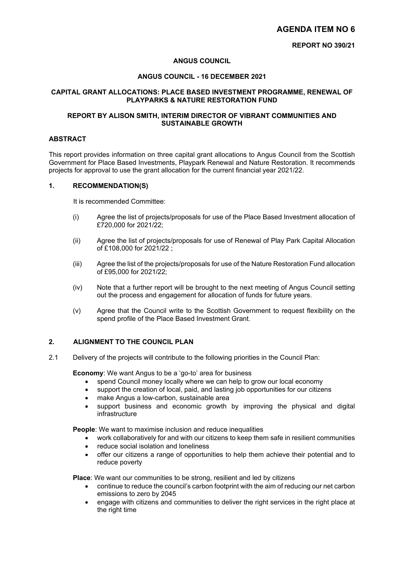# **AGENDA ITEM NO 6**

#### **ANGUS COUNCIL**

#### **ANGUS COUNCIL - 16 DECEMBER 2021**

#### **CAPITAL GRANT ALLOCATIONS: PLACE BASED INVESTMENT PROGRAMME, RENEWAL OF PLAYPARKS & NATURE RESTORATION FUND**

## **REPORT BY ALISON SMITH, INTERIM DIRECTOR OF VIBRANT COMMUNITIES AND SUSTAINABLE GROWTH**

#### **ABSTRACT**

This report provides information on three capital grant allocations to Angus Council from the Scottish Government for Place Based Investments, Playpark Renewal and Nature Restoration. It recommends projects for approval to use the grant allocation for the current financial year 2021/22.

# **1. RECOMMENDATION(S)**

It is recommended Committee:

- (i) Agree the list of projects/proposals for use of the Place Based Investment allocation of £720,000 for 2021/22;
- (ii) Agree the list of projects/proposals for use of Renewal of Play Park Capital Allocation of £108,000 for 2021/22 ;
- (iii) Agree the list of the projects/proposals for use of the Nature Restoration Fund allocation of £95,000 for 2021/22;
- (iv) Note that a further report will be brought to the next meeting of Angus Council setting out the process and engagement for allocation of funds for future years.
- (v) Agree that the Council write to the Scottish Government to request flexibility on the spend profile of the Place Based Investment Grant.

#### **2. ALIGNMENT TO THE COUNCIL PLAN**

2.1 Delivery of the projects will contribute to the following priorities in the Council Plan:

**Economy**: We want Angus to be a 'go-to' area for business

- spend Council money locally where we can help to grow our local economy
- support the creation of local, paid, and lasting job opportunities for our citizens
- make Angus a low-carbon, sustainable area
- support business and economic growth by improving the physical and digital infrastructure

**People**: We want to maximise inclusion and reduce inequalities

- work collaboratively for and with our citizens to keep them safe in resilient communities
- reduce social isolation and loneliness
- offer our citizens a range of opportunities to help them achieve their potential and to reduce poverty

**Place**: We want our communities to be strong, resilient and led by citizens

- continue to reduce the council's carbon footprint with the aim of reducing our net carbon emissions to zero by 2045
- engage with citizens and communities to deliver the right services in the right place at the right time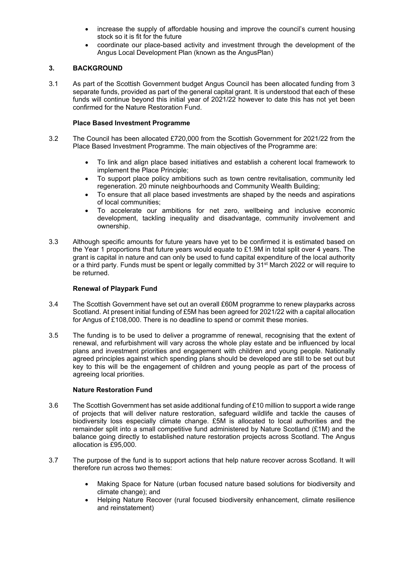- increase the supply of affordable housing and improve the council's current housing stock so it is fit for the future
- coordinate our place-based activity and investment through the development of the Angus Local Development Plan (known as the AngusPlan)

## **3. BACKGROUND**

3.1 As part of the Scottish Government budget Angus Council has been allocated funding from 3 separate funds, provided as part of the general capital grant. It is understood that each of these funds will continue beyond this initial year of 2021/22 however to date this has not yet been confirmed for the Nature Restoration Fund.

## **Place Based Investment Programme**

- 3.2 The Council has been allocated £720,000 from the Scottish Government for 2021/22 from the Place Based Investment Programme. The main objectives of the Programme are:
	- To link and align place based initiatives and establish a coherent local framework to implement the Place Principle;
	- To support place policy ambitions such as town centre revitalisation, community led regeneration. 20 minute neighbourhoods and Community Wealth Building;
	- To ensure that all place based investments are shaped by the needs and aspirations of local communities;
	- To accelerate our ambitions for net zero, wellbeing and inclusive economic development, tackling inequality and disadvantage, community involvement and ownership.
- 3.3 Although specific amounts for future years have yet to be confirmed it is estimated based on the Year 1 proportions that future years would equate to  $£1.9M$  in total split over 4 years. The grant is capital in nature and can only be used to fund capital expenditure of the local authority or a third party. Funds must be spent or legally committed by 31<sup>st</sup> March 2022 or will require to be returned.

## **Renewal of Playpark Fund**

- 3.4 The Scottish Government have set out an overall £60M programme to renew playparks across Scotland. At present initial funding of £5M has been agreed for 2021/22 with a capital allocation for Angus of £108,000. There is no deadline to spend or commit these monies.
- 3.5 The funding is to be used to deliver a programme of renewal, recognising that the extent of renewal, and refurbishment will vary across the whole play estate and be influenced by local plans and investment priorities and engagement with children and young people. Nationally agreed principles against which spending plans should be developed are still to be set out but key to this will be the engagement of children and young people as part of the process of agreeing local priorities.

## **Nature Restoration Fund**

- 3.6 The Scottish Government has set aside additional funding of £10 million to support a wide range of projects that will deliver nature restoration, safeguard wildlife and tackle the causes of biodiversity loss especially climate change. £5M is allocated to local authorities and the remainder split into a small competitive fund administered by Nature Scotland (£1M) and the balance going directly to established nature restoration projects across Scotland. The Angus allocation is £95,000.
- 3.7 The purpose of the fund is to support actions that help nature recover across Scotland. It will therefore run across two themes:
	- Making Space for Nature (urban focused nature based solutions for biodiversity and climate change); and
	- Helping Nature Recover (rural focused biodiversity enhancement, climate resilience and reinstatement)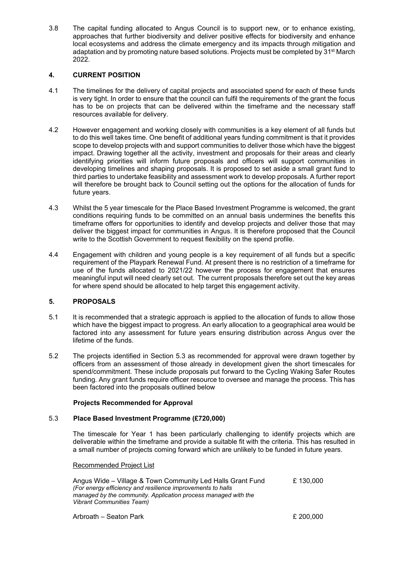3.8 The capital funding allocated to Angus Council is to support new, or to enhance existing, approaches that further biodiversity and deliver positive effects for biodiversity and enhance local ecosystems and address the climate emergency and its impacts through mitigation and adaptation and by promoting nature based solutions. Projects must be completed by 31<sup>st</sup> March 2022.

# **4. CURRENT POSITION**

- 4.1 The timelines for the delivery of capital projects and associated spend for each of these funds is very tight. In order to ensure that the council can fulfil the requirements of the grant the focus has to be on projects that can be delivered within the timeframe and the necessary staff resources available for delivery.
- 4.2 However engagement and working closely with communities is a key element of all funds but to do this well takes time. One benefit of additional years funding commitment is that it provides scope to develop projects with and support communities to deliver those which have the biggest impact. Drawing together all the activity, investment and proposals for their areas and clearly identifying priorities will inform future proposals and officers will support communities in developing timelines and shaping proposals. It is proposed to set aside a small grant fund to third parties to undertake feasibility and assessment work to develop proposals. A further report will therefore be brought back to Council setting out the options for the allocation of funds for future years.
- 4.3 Whilst the 5 year timescale for the Place Based Investment Programme is welcomed, the grant conditions requiring funds to be committed on an annual basis undermines the benefits this timeframe offers for opportunities to identify and develop projects and deliver those that may deliver the biggest impact for communities in Angus. It is therefore proposed that the Council write to the Scottish Government to request flexibility on the spend profile.
- 4.4 Engagement with children and young people is a key requirement of all funds but a specific requirement of the Playpark Renewal Fund. At present there is no restriction of a timeframe for use of the funds allocated to 2021/22 however the process for engagement that ensures meaningful input will need clearly set out. The current proposals therefore set out the key areas for where spend should be allocated to help target this engagement activity.

## **5. PROPOSALS**

- 5.1 It is recommended that a strategic approach is applied to the allocation of funds to allow those which have the biggest impact to progress. An early allocation to a geographical area would be factored into any assessment for future years ensuring distribution across Angus over the lifetime of the funds.
- 5.2 The projects identified in Section 5.3 as recommended for approval were drawn together by officers from an assessment of those already in development given the short timescales for spend/commitment. These include proposals put forward to the Cycling Waking Safer Routes funding. Any grant funds require officer resource to oversee and manage the process. This has been factored into the proposals outlined below

## **Projects Recommended for Approval**

# 5.3 **Place Based Investment Programme (£720,000)**

The timescale for Year 1 has been particularly challenging to identify projects which are deliverable within the timeframe and provide a suitable fit with the criteria. This has resulted in a small number of projects coming forward which are unlikely to be funded in future years.

#### Recommended Project List

| Angus Wide – Village & Town Community Led Halls Grant Fund     | £130.000 |
|----------------------------------------------------------------|----------|
| (For energy efficiency and resilience improvements to halls    |          |
| managed by the community. Application process managed with the |          |
| <i>Vibrant Communities Team)</i>                               |          |
|                                                                |          |

Arbroath – Seaton Park £ 200,000